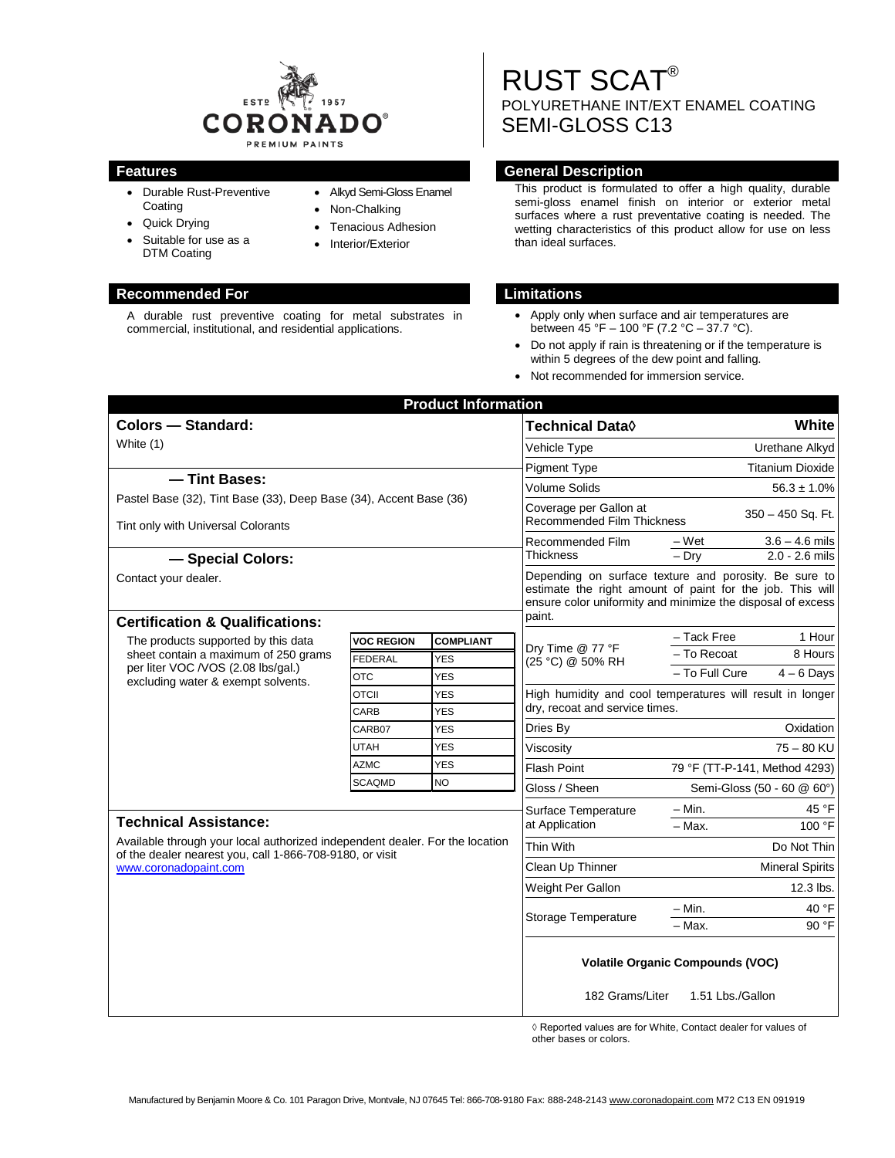

• Alkyd Semi-Gloss Enamel

• Non-Chalking • Tenacious Adhesion • Interior/Exterior

- Durable Rust-Preventive Coating
- Quick Drying
- Suitable for use as a DTM Coating

A durable rust preventive coating for metal substrates in commercial, institutional, and residential applications.

RUST SCAT® POLYURETHANE INT/EXT ENAMEL COATING SEMI-GLOSS C13

#### **Features General Description**

This product is formulated to offer a high quality, durable semi-gloss enamel finish on interior or exterior metal surfaces where a rust preventative coating is needed. The wetting characteristics of this product allow for use on less than ideal surfaces.

### **Recommended For Limitations**

- Apply only when surface and air temperatures are between 45 °F – 100 °F (7.2 °C – 37.7 °C).
- Do not apply if rain is threatening or if the temperature is within 5 degrees of the dew point and falling.
- Not recommended for immersion service.

| <b>Product Information</b>                                                                                                                              |                   |                          |                                                                                                                                                                                             |                                                 |
|---------------------------------------------------------------------------------------------------------------------------------------------------------|-------------------|--------------------------|---------------------------------------------------------------------------------------------------------------------------------------------------------------------------------------------|-------------------------------------------------|
| <b>Colors - Standard:</b>                                                                                                                               |                   |                          | Technical Data <b>◊</b>                                                                                                                                                                     | White                                           |
| White (1)                                                                                                                                               |                   |                          | Vehicle Type                                                                                                                                                                                | Urethane Alkyd                                  |
|                                                                                                                                                         |                   |                          | Pigment Type                                                                                                                                                                                | <b>Titanium Dioxide</b>                         |
| - Tint Bases:                                                                                                                                           |                   |                          | Volume Solids                                                                                                                                                                               | $56.3 \pm 1.0\%$                                |
| Pastel Base (32), Tint Base (33), Deep Base (34), Accent Base (36)<br>Tint only with Universal Colorants                                                |                   |                          | Coverage per Gallon at<br><b>Recommended Film Thickness</b>                                                                                                                                 | 350 - 450 Sq. Ft.                               |
|                                                                                                                                                         |                   |                          | Recommended Film<br>Thickness                                                                                                                                                               | – Wet<br>$3.6 - 4.6$ mils                       |
| - Special Colors:                                                                                                                                       |                   |                          |                                                                                                                                                                                             | $2.0 - 2.6$ mils<br>$-$ Dry                     |
| Contact your dealer.                                                                                                                                    |                   |                          | Depending on surface texture and porosity. Be sure to<br>estimate the right amount of paint for the job. This will<br>ensure color uniformity and minimize the disposal of excess<br>paint. |                                                 |
| <b>Certification &amp; Qualifications:</b>                                                                                                              |                   |                          |                                                                                                                                                                                             |                                                 |
| The products supported by this data<br>sheet contain a maximum of 250 grams<br>per liter VOC /VOS (2.08 lbs/gal.)<br>excluding water & exempt solvents. | <b>VOC REGION</b> | <b>COMPLIANT</b>         | Dry Time @ 77 °F<br>(25 °C) @ 50% RH                                                                                                                                                        | - Tack Free<br>1 Hour<br>- To Recoat<br>8 Hours |
|                                                                                                                                                         | FEDERAL           | <b>YES</b>               |                                                                                                                                                                                             | - To Full Cure<br>$4 - 6$ Days                  |
|                                                                                                                                                         | <b>OTC</b>        | <b>YES</b>               |                                                                                                                                                                                             |                                                 |
|                                                                                                                                                         | <b>OTCII</b>      | <b>YES</b>               | High humidity and cool temperatures will result in longer<br>dry, recoat and service times.                                                                                                 |                                                 |
|                                                                                                                                                         | CARB<br>CARB07    | <b>YES</b><br><b>YES</b> | Dries By                                                                                                                                                                                    | Oxidation                                       |
|                                                                                                                                                         | <b>UTAH</b>       | <b>YES</b>               | Viscosity                                                                                                                                                                                   | $75 - 80$ KU                                    |
|                                                                                                                                                         | <b>AZMC</b>       | <b>YES</b>               | <b>Flash Point</b>                                                                                                                                                                          |                                                 |
|                                                                                                                                                         | SCAQMD            | <b>NO</b>                |                                                                                                                                                                                             | 79 °F (TT-P-141, Method 4293)                   |
|                                                                                                                                                         |                   |                          | Gloss / Sheen                                                                                                                                                                               | Semi-Gloss (50 - 60 @ 60°)                      |
| <b>Technical Assistance:</b>                                                                                                                            |                   |                          | Surface Temperature<br>at Application                                                                                                                                                       | – Min.<br>45 °F                                 |
| Available through your local authorized independent dealer. For the location                                                                            |                   |                          |                                                                                                                                                                                             | 100 °F<br>$-$ Max.                              |
| of the dealer nearest you, call 1-866-708-9180, or visit<br>www.coronadopaint.com                                                                       |                   |                          | Thin With                                                                                                                                                                                   | Do Not Thin                                     |
|                                                                                                                                                         |                   |                          | Clean Up Thinner                                                                                                                                                                            | <b>Mineral Spirits</b>                          |
|                                                                                                                                                         |                   |                          | Weight Per Gallon                                                                                                                                                                           | 12.3 lbs.                                       |
|                                                                                                                                                         |                   |                          | Storage Temperature                                                                                                                                                                         | 40 °F<br>– Min.                                 |
|                                                                                                                                                         |                   |                          |                                                                                                                                                                                             | - Max.<br>90 °F                                 |
|                                                                                                                                                         |                   |                          | <b>Volatile Organic Compounds (VOC)</b>                                                                                                                                                     |                                                 |
|                                                                                                                                                         |                   |                          | 182 Grams/Liter                                                                                                                                                                             | 1.51 Lbs./Gallon                                |

◊ Reported values are for White, Contact dealer for values of other bases or colors.